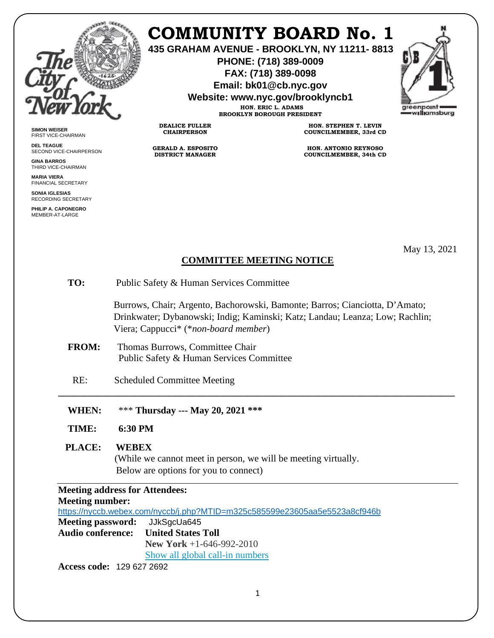

**SIMON WEISER** FIRST VICE-CHAIRMAN **DEL TEAGUE**

**GINA BARROS** THIRD VICE-CHAIRMAN **MARIA VIERA** FINANCIAL SECRETARY **SONIA IGLESIAS** RECORDING SECRETARY **PHILIP A. CAPONEGRO** MEMBER-AT-LARGE

SECOND VICE-CHAIRPERSON

## **COMMUNITY BOARD No. 1**

**435 GRAHAM AVENUE - BROOKLYN, NY 11211- 8813**

**PHONE: (718) 389-0009 FAX: (718) 389-0098**

**Email: bk01@cb.nyc.gov**

**Website: www.nyc.gov/brooklyncb1**

**HON. ERIC L. ADAMS BROOKLYN BOROUGH PRESIDENT**

**DEALICE FULLER CHAIRPERSON**

**GERALD A. ESPOSITO DISTRICT MANAGER**

**HON. STEPHEN T. LEVIN COUNCILMEMBER, 33rd CD**

**HON. ANTONIO REYNOSO COUNCILMEMBER, 34th CD**

May 13, 2021

## **COMMITTEE MEETING NOTICE**

**\_\_\_\_\_\_\_\_\_\_\_\_\_\_\_\_\_\_\_\_\_\_\_\_\_\_\_\_\_\_\_\_\_\_\_\_\_\_\_\_\_\_\_\_\_\_\_\_\_\_\_\_\_\_\_\_\_\_\_\_\_\_\_\_\_\_\_\_\_\_\_\_\_\_\_\_\_\_\_\_\_\_**

**TO:** Public Safety & Human Services Committee

 Burrows, Chair; Argento, Bachorowski, Bamonte; Barros; Cianciotta, D'Amato; Drinkwater; Dybanowski; Indig; Kaminski; Katz; Landau; Leanza; Low; Rachlin; Viera; Cappucci\* (\**non-board member*)

- **FROM:** Thomas Burrows, Committee Chair Public Safety & Human Services Committee
- RE: Scheduled Committee Meeting
- **WHEN:** \*\*\* **Thursday --- May 20, 2021 \*\*\***
- **TIME: 6:30 PM**

 **PLACE: WEBEX** 

(While we cannot meet in person, we will be meeting virtually. Below are options for you to connect)

**Meeting address for Attendees: Meeting number:**  <https://nyccb.webex.com/nyccb/j.php?MTID=m325c585599e23605aa5e5523a8cf946b> **Meeting password:** JJkSgcUa645 **Audio conference: United States Toll New York** +1-646-992-2010 [Show all global call-in numbers](https://nyccb.webex.com/cmp3300/webcomponents/widget/globalcallin/globalcallin.do?siteurl=nyccb&serviceType=EC&eventID=996974567&tollFree=0)

**Access code:** 129 627 2692